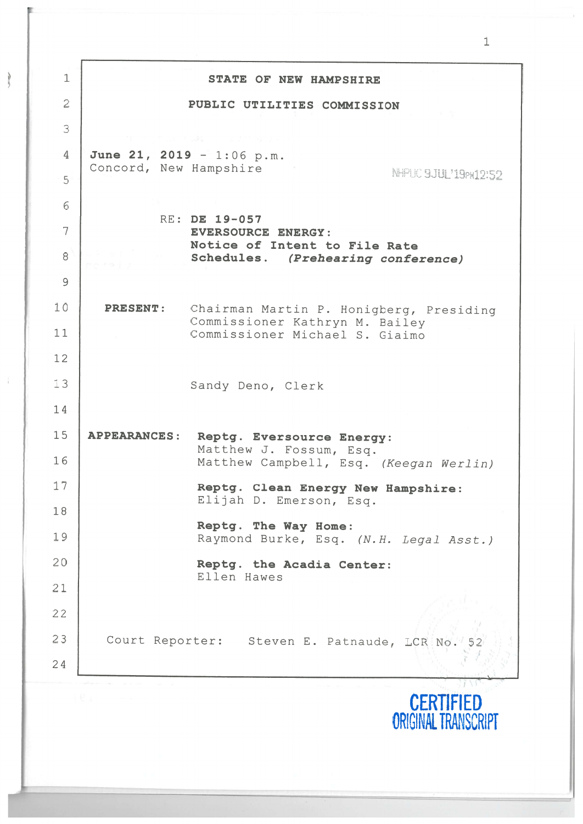| $\mathbf{1}$   |                           | STATE OF NEW HAMPSHIRE                                              |
|----------------|---------------------------|---------------------------------------------------------------------|
| $\overline{2}$ |                           | PUBLIC UTILITIES COMMISSION                                         |
| 3              |                           | ない しかしい ちみに しょだい 紀                                                  |
| $\overline{4}$ | June 21, 2019 - 1:06 p.m. |                                                                     |
| 5              | Concord, New Hampshire    | NHPUC 9JUL'19PM12:52                                                |
| 6              |                           |                                                                     |
| 7              |                           | RE: DE 19-057<br><b>EVERSOURCE ENERGY:</b>                          |
| 8              |                           | Notice of Intent to File Rate<br>Schedules. (Prehearing conference) |
| $\overline{9}$ |                           |                                                                     |
| 10             | <b>PRESENT:</b>           | Chairman Martin P. Honigberg, Presiding                             |
| 11             |                           | Commissioner Kathryn M. Bailey<br>Commissioner Michael S. Giaimo    |
| 12             |                           |                                                                     |
| 13             |                           | Sandy Deno, Clerk                                                   |
| 14             |                           |                                                                     |
| 15             | <b>APPEARANCES:</b>       | Reptg. Eversource Energy:                                           |
| 16             |                           | Matthew J. Fossum, Esq.<br>Matthew Campbell, Esq. (Keegan Werlin)   |
| 17             |                           | Reptg. Clean Energy New Hampshire:                                  |
| 18             |                           | Elijah D. Emerson, Esq.                                             |
| 19             |                           | Reptg. The Way Home:<br>Raymond Burke, Esq. (N.H. Legal Asst.)      |
| 20             |                           | Reptg. the Acadia Center:                                           |
| 21             |                           | Ellen Hawes                                                         |
| 22             |                           |                                                                     |
| 23             |                           | Court Reporter: Steven E. Patnaude, LCR No.                         |
| 24             |                           |                                                                     |
|                |                           |                                                                     |

 $\frac{1}{2}$ 

[

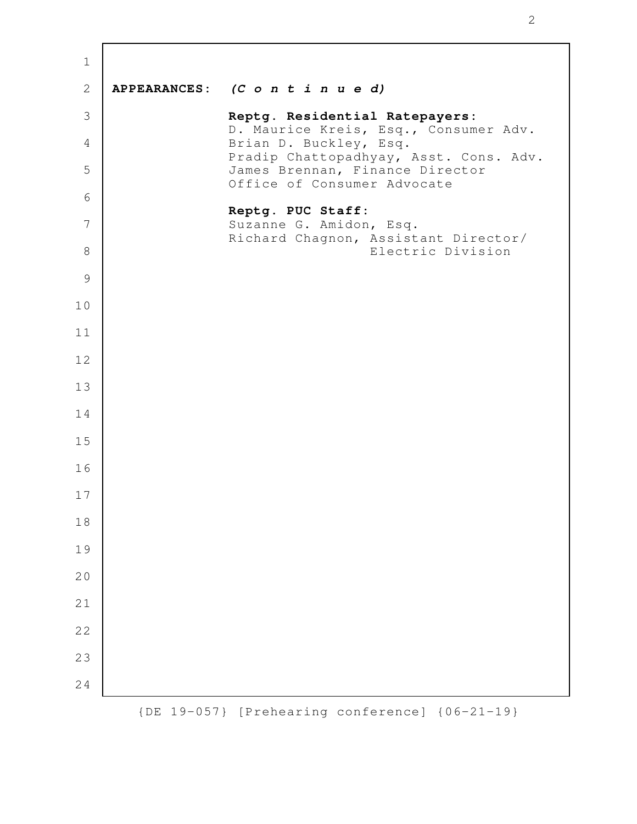| $\mathbf 1$  |              |                                                                         |
|--------------|--------------|-------------------------------------------------------------------------|
| $\mathbf{2}$ |              | APPEARANCES: $(C \circ n \ t \ i \ n \ u \ e \ d)$                      |
| 3            |              | Reptg. Residential Ratepayers:<br>D. Maurice Kreis, Esq., Consumer Adv. |
| 4            |              | Brian D. Buckley, Esq.<br>Pradip Chattopadhyay, Asst. Cons. Adv.        |
| 5            |              | James Brennan, Finance Director<br>Office of Consumer Advocate          |
| 6            |              | Reptg. PUC Staff:                                                       |
| 7            |              | Suzanne G. Amidon, Esq.<br>Richard Chagnon, Assistant Director/         |
| 8            |              | Electric Division                                                       |
| 9            |              |                                                                         |
| 10           |              |                                                                         |
| 11           |              |                                                                         |
| 12           |              |                                                                         |
| 13           |              |                                                                         |
| 14           |              |                                                                         |
| 15           |              |                                                                         |
| 16           |              |                                                                         |
| 17           |              |                                                                         |
| 18           |              |                                                                         |
| 19           |              |                                                                         |
| 20           |              |                                                                         |
| 21           |              |                                                                         |
| 22           |              |                                                                         |
| 23           |              |                                                                         |
| 24           |              |                                                                         |
|              | $\left\{$ DE | 19-057} [Prehearing conference] {06-21-19}                              |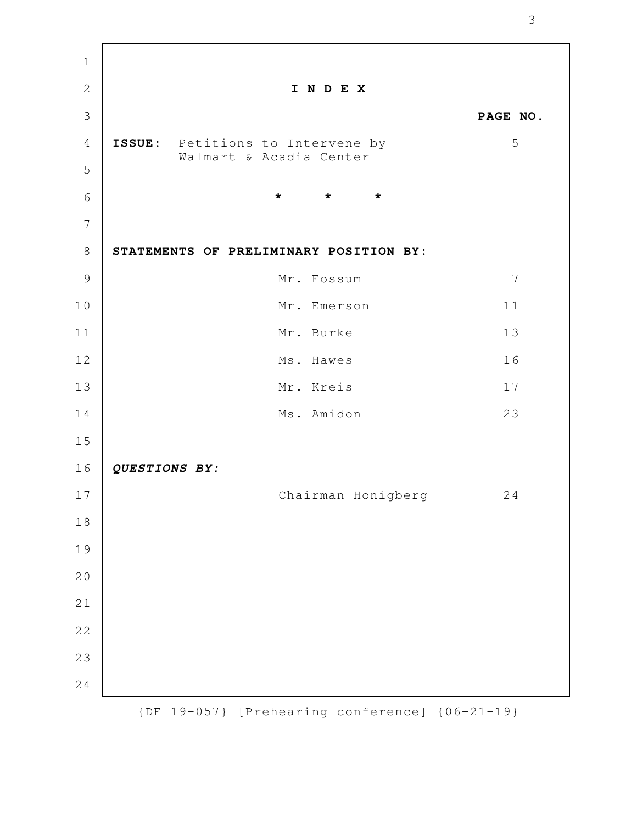| $\mathbf 1$    |               |                                                             |                 |
|----------------|---------------|-------------------------------------------------------------|-----------------|
| $\overline{2}$ |               | INDEX                                                       |                 |
| 3              |               |                                                             | PAGE NO.        |
| $\overline{4}$ |               | ISSUE: Petitions to Intervene by<br>Walmart & Acadia Center | 5               |
| 5              |               |                                                             |                 |
| 6              |               | $\star$<br>$\star$<br>$\star$                               |                 |
| $\overline{7}$ |               |                                                             |                 |
| 8              |               | STATEMENTS OF PRELIMINARY POSITION BY:                      |                 |
| $\mathcal{G}$  |               | Mr. Fossum                                                  | $7\phantom{.0}$ |
| 10             |               | Mr. Emerson                                                 | 11              |
| 11             |               | Mr. Burke                                                   | 13              |
| 12             |               | Ms. Hawes                                                   | 16              |
| 13             |               | Mr. Kreis                                                   | 17              |
| 14             |               | Ms. Amidon                                                  | 23              |
| 15             |               |                                                             |                 |
| 16             | QUESTIONS BY: |                                                             |                 |
| 17             |               | Chairman Honigberg                                          | 24              |
| 18             |               |                                                             |                 |
| 19             |               |                                                             |                 |
| 20             |               |                                                             |                 |
| 21             |               |                                                             |                 |
| 22             |               |                                                             |                 |
| 23             |               |                                                             |                 |
| 24             |               |                                                             |                 |
|                |               | $\{DE\ 19-057\}$ [Prehearing conference] $\{06-21-19\}$     |                 |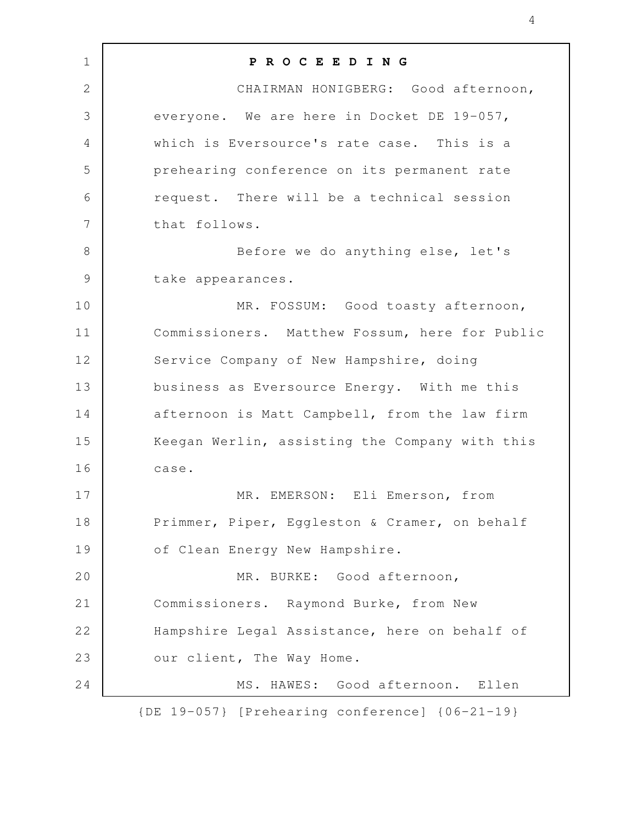| $\mathbf 1$     | PROCEEDING                                              |
|-----------------|---------------------------------------------------------|
| $\overline{2}$  | CHAIRMAN HONIGBERG: Good afternoon,                     |
| 3               | everyone. We are here in Docket DE 19-057,              |
| 4               | which is Eversource's rate case. This is a              |
| 5               | prehearing conference on its permanent rate             |
| 6               | request. There will be a technical session              |
| $7\phantom{.0}$ | that follows.                                           |
| $8\,$           | Before we do anything else, let's                       |
| $\mathsf 9$     | take appearances.                                       |
| 10              | MR. FOSSUM: Good toasty afternoon,                      |
| 11              | Commissioners. Matthew Fossum, here for Public          |
| 12              | Service Company of New Hampshire, doing                 |
| 13              | business as Eversource Energy. With me this             |
| 14              | afternoon is Matt Campbell, from the law firm           |
| 15              | Keegan Werlin, assisting the Company with this          |
| 16              | case.                                                   |
| 17              | MR. EMERSON: Eli Emerson, from                          |
| 18              | Primmer, Piper, Eggleston & Cramer, on behalf           |
| 19              | of Clean Energy New Hampshire.                          |
| 20              | MR. BURKE: Good afternoon,                              |
| 21              | Commissioners. Raymond Burke, from New                  |
| 22              | Hampshire Legal Assistance, here on behalf of           |
| 23              | our client, The Way Home.                               |
| 24              | MS. HAWES: Good afternoon. Ellen                        |
|                 | $\{DE\ 19-057\}$ [Prehearing conference] $\{06-21-19\}$ |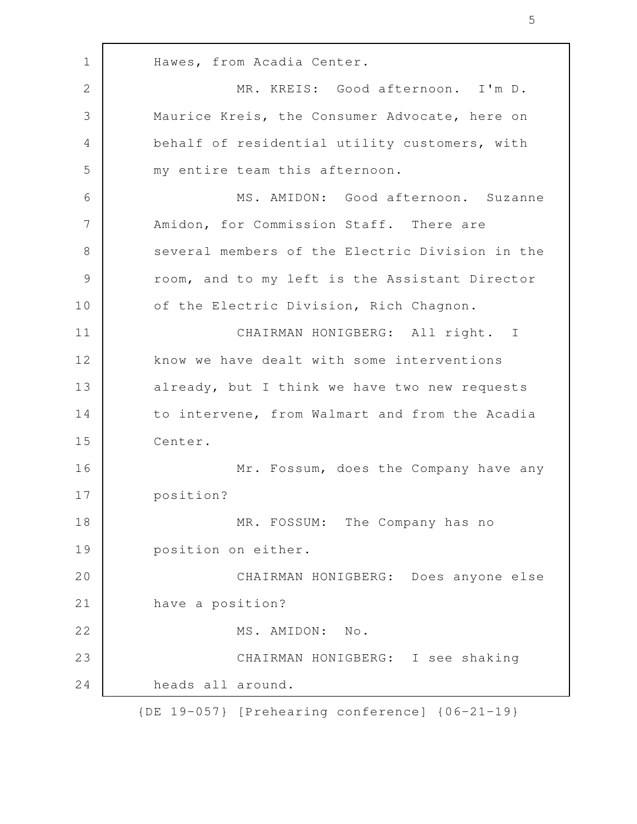Hawes, from Acadia Center. MR. KREIS: Good afternoon. I'm D. Maurice Kreis, the Consumer Advocate, here on behalf of residential utility customers, with my entire team this afternoon. MS. AMIDON: Good afternoon. Suzanne Amidon, for Commission Staff. There are several members of the Electric Division in the room, and to my left is the Assistant Director of the Electric Division, Rich Chagnon. CHAIRMAN HONIGBERG: All right. I know we have dealt with some interventions already, but I think we have two new requests to intervene, from Walmart and from the Acadia Center. Mr. Fossum, does the Company have any position? MR. FOSSUM: The Company has no position on either. CHAIRMAN HONIGBERG: Does anyone else have a position? MS. AMIDON: No. CHAIRMAN HONIGBERG: I see shaking heads all around. 1 2 3 4 5 6 7 8 9 10 11 12 13 14 15 16 17 18 19 20 21 22 23 24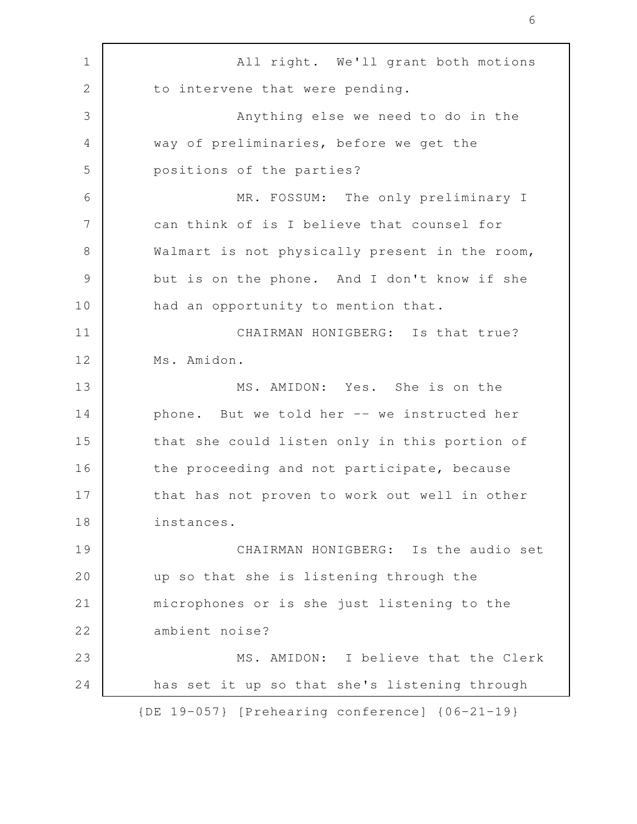All right. We'll grant both motions to intervene that were pending. Anything else we need to do in the way of preliminaries, before we get the positions of the parties? MR. FOSSUM: The only preliminary I can think of is I believe that counsel for Walmart is not physically present in the room, but is on the phone. And I don't know if she had an opportunity to mention that. CHAIRMAN HONIGBERG: Is that true? Ms. Amidon. MS. AMIDON: Yes. She is on the phone. But we told her -- we instructed her that she could listen only in this portion of the proceeding and not participate, because that has not proven to work out well in other instances. CHAIRMAN HONIGBERG: Is the audio set up so that she is listening through the microphones or is she just listening to the ambient noise? MS. AMIDON: I believe that the Clerk has set it up so that she's listening through {DE 19-057} [Prehearing conference] {06-21-19} 1 2 3 4 5 6 7 8 9 10 11 12 13 14 15 16 17 18 19 20 21 22 23 24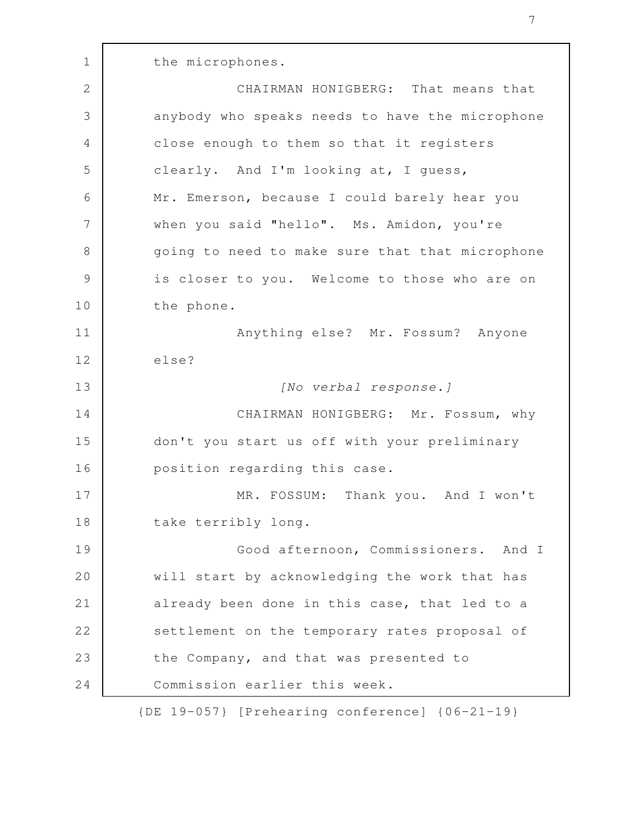the microphones. CHAIRMAN HONIGBERG: That means that anybody who speaks needs to have the microphone close enough to them so that it registers clearly. And I'm looking at, I guess, Mr. Emerson, because I could barely hear you when you said "hello". Ms. Amidon, you're going to need to make sure that that microphone is closer to you. Welcome to those who are on 1 2 3 4 5 6 7 8 9

the phone.

10

Anything else? Mr. Fossum? Anyone else? [No verbal response.] CHAIRMAN HONIGBERG: Mr. Fossum, why don't you start us off with your preliminary 11 12 13 14 15

position regarding this case. MR. FOSSUM: Thank you. And I won't take terribly long. 16 17 18

Good afternoon, Commissioners. And I will start by acknowledging the work that has already been done in this case, that led to a settlement on the temporary rates proposal of the Company, and that was presented to Commission earlier this week. 19 20 21 22 23 24

{DE 19-057} [Prehearing conference] {06-21-19}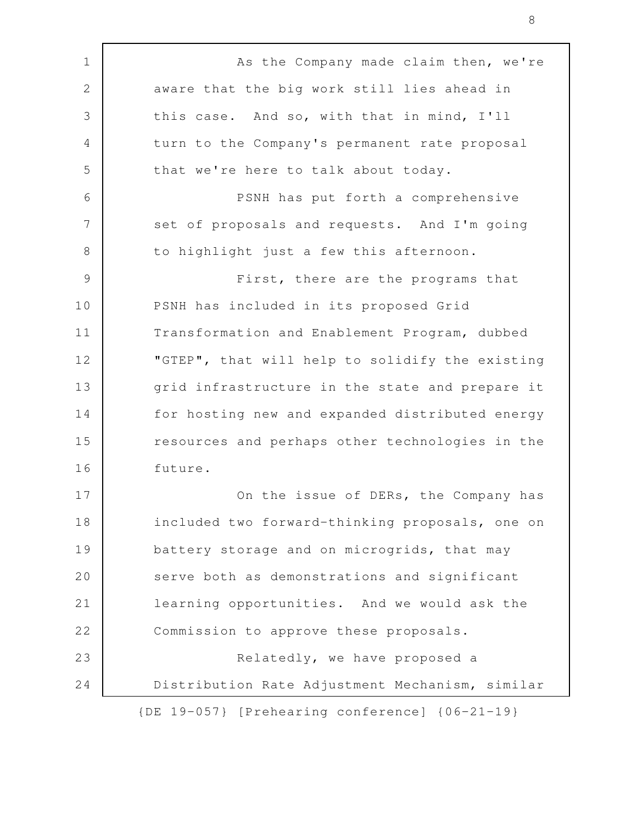As the Company made claim then, we're aware that the big work still lies ahead in this case. And so, with that in mind, I'll turn to the Company's permanent rate proposal that we're here to talk about today. PSNH has put forth a comprehensive set of proposals and requests. And I'm going to highlight just a few this afternoon. First, there are the programs that PSNH has included in its proposed Grid Transformation and Enablement Program, dubbed "GTEP", that will help to solidify the existing grid infrastructure in the state and prepare it for hosting new and expanded distributed energy resources and perhaps other technologies in the future. On the issue of DERs, the Company has included two forward-thinking proposals, one on battery storage and on microgrids, that may serve both as demonstrations and significant learning opportunities. And we would ask the Commission to approve these proposals. Relatedly, we have proposed a Distribution Rate Adjustment Mechanism, similar {DE 19-057} [Prehearing conference] {06-21-19} 1 2 3 4 5 6 7 8 9 10 11 12 13 14 15 16 17 18 19 20 21 22 23 24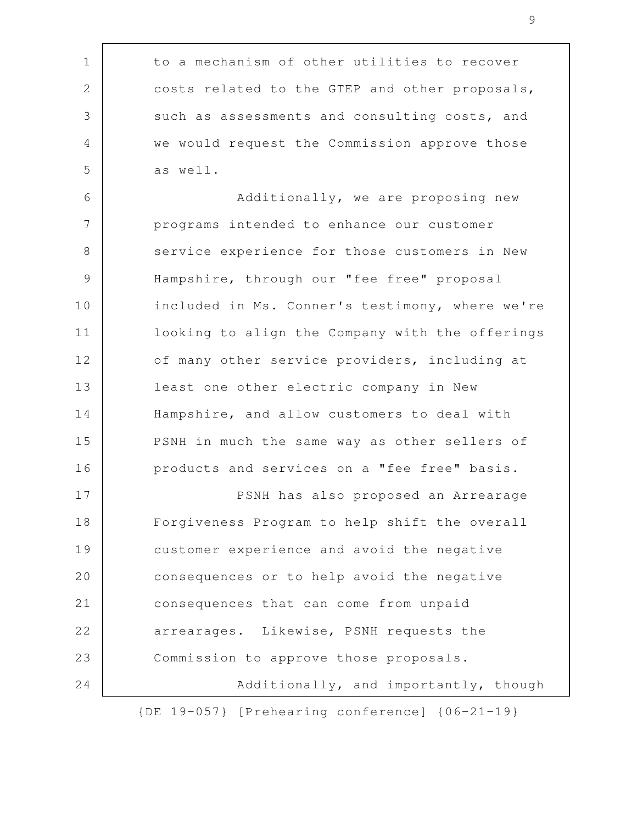to a mechanism of other utilities to recover costs related to the GTEP and other proposals, such as assessments and consulting costs, and we would request the Commission approve those as well.

1

2

3

4

5

Additionally, we are proposing new programs intended to enhance our customer service experience for those customers in New Hampshire, through our "fee free" proposal included in Ms. Conner's testimony, where we're looking to align the Company with the offerings of many other service providers, including at least one other electric company in New Hampshire, and allow customers to deal with PSNH in much the same way as other sellers of products and services on a "fee free" basis. PSNH has also proposed an Arrearage Forgiveness Program to help shift the overall customer experience and avoid the negative consequences or to help avoid the negative 6 7 8 9 10 11 12 13 14 15 16 17 18 19 20

consequences that can come from unpaid arrearages. Likewise, PSNH requests the Commission to approve those proposals. Additionally, and importantly, though 21 22 23 24

{DE 19-057} [Prehearing conference] {06-21-19}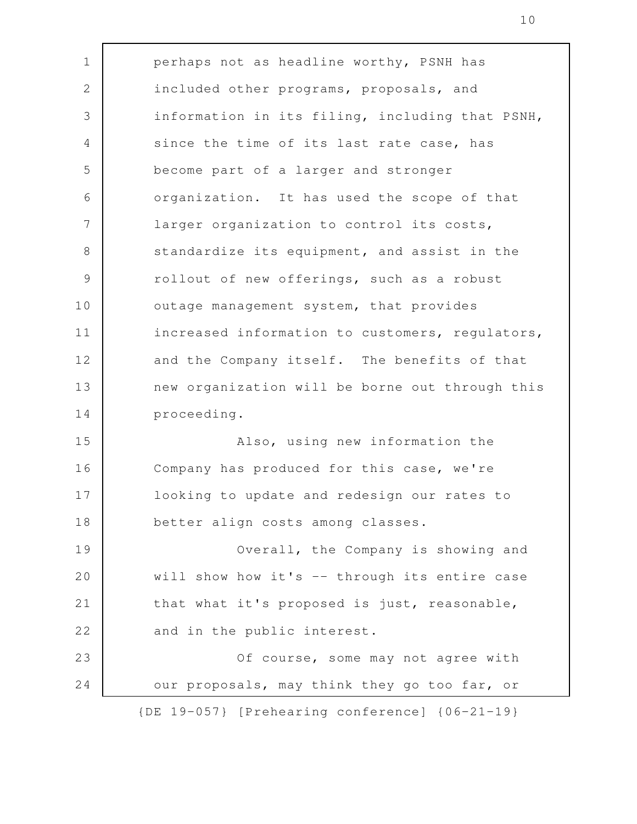perhaps not as headline worthy, PSNH has included other programs, proposals, and information in its filing, including that PSNH, since the time of its last rate case, has become part of a larger and stronger organization. It has used the scope of that larger organization to control its costs, standardize its equipment, and assist in the rollout of new offerings, such as a robust outage management system, that provides increased information to customers, regulators, and the Company itself. The benefits of that new organization will be borne out through this proceeding. Also, using new information the Company has produced for this case, we're looking to update and redesign our rates to better align costs among classes. Overall, the Company is showing and will show how it's -- through its entire case that what it's proposed is just, reasonable, and in the public interest. Of course, some may not agree with our proposals, may think they go too far, or {DE 19-057} [Prehearing conference] {06-21-19} 1 2 3 4 5 6 7 8 9 10 11 12 13 14 15 16 17 18 19 20 21 22 23 24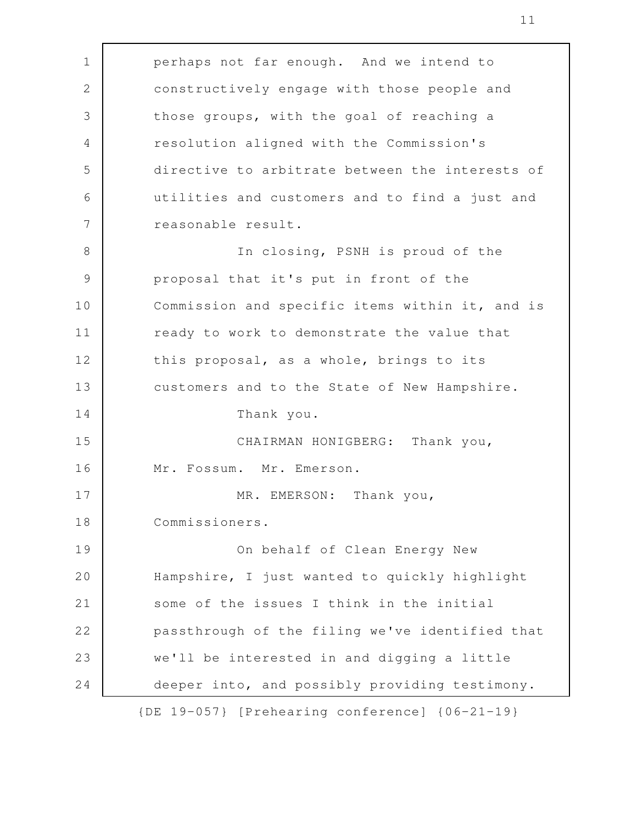perhaps not far enough. And we intend to constructively engage with those people and those groups, with the goal of reaching a resolution aligned with the Commission's directive to arbitrate between the interests of utilities and customers and to find a just and reasonable result. In closing, PSNH is proud of the proposal that it's put in front of the Commission and specific items within it, and is ready to work to demonstrate the value that this proposal, as a whole, brings to its customers and to the State of New Hampshire. Thank you. CHAIRMAN HONIGBERG: Thank you, Mr. Fossum. Mr. Emerson. MR. EMERSON: Thank you, Commissioners. On behalf of Clean Energy New Hampshire, I just wanted to quickly highlight some of the issues I think in the initial passthrough of the filing we've identified that we'll be interested in and digging a little deeper into, and possibly providing testimony. 1 2 3 4 5 6 7 8 9 10 11 12 13 14 15 16 17 18 19 20 21 22 23 24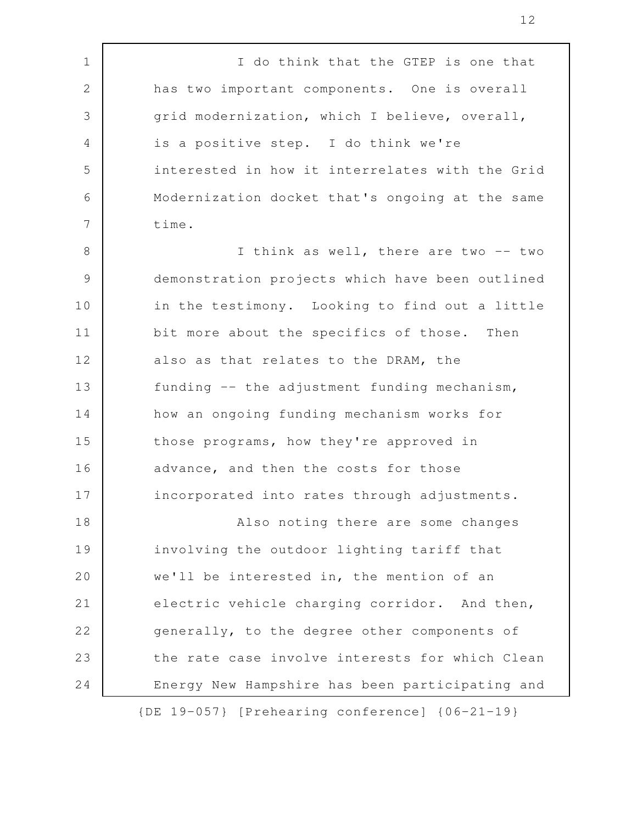I do think that the GTEP is one that has two important components. One is overall grid modernization, which I believe, overall, is a positive step. I do think we're interested in how it interrelates with the Grid Modernization docket that's ongoing at the same time. I think as well, there are two -- two demonstration projects which have been outlined in the testimony. Looking to find out a little bit more about the specifics of those. Then also as that relates to the DRAM, the funding -- the adjustment funding mechanism, how an ongoing funding mechanism works for those programs, how they're approved in advance, and then the costs for those incorporated into rates through adjustments. Also noting there are some changes involving the outdoor lighting tariff that we'll be interested in, the mention of an electric vehicle charging corridor. And then, generally, to the degree other components of the rate case involve interests for which Clean Energy New Hampshire has been participating and 1 2 3 4 5 6 7 8 9 10 11 12 13 14 15 16 17 18 19 20 21 22 23 24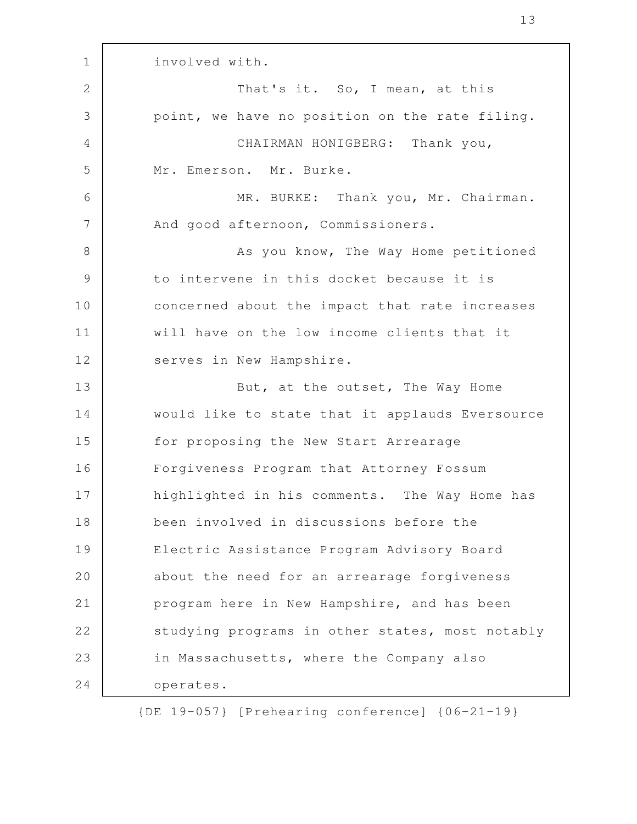involved with. That's it. So, I mean, at this point, we have no position on the rate filing. CHAIRMAN HONIGBERG: Thank you, Mr. Emerson. Mr. Burke. MR. BURKE: Thank you, Mr. Chairman. And good afternoon, Commissioners. As you know, The Way Home petitioned to intervene in this docket because it is concerned about the impact that rate increases will have on the low income clients that it serves in New Hampshire. But, at the outset, The Way Home would like to state that it applauds Eversource for proposing the New Start Arrearage Forgiveness Program that Attorney Fossum highlighted in his comments. The Way Home has been involved in discussions before the Electric Assistance Program Advisory Board about the need for an arrearage forgiveness program here in New Hampshire, and has been studying programs in other states, most notably in Massachusetts, where the Company also operates. 1 2 3 4 5 6 7 8 9 10 11 12 13 14 15 16 17 18 19 20 21 22 23 24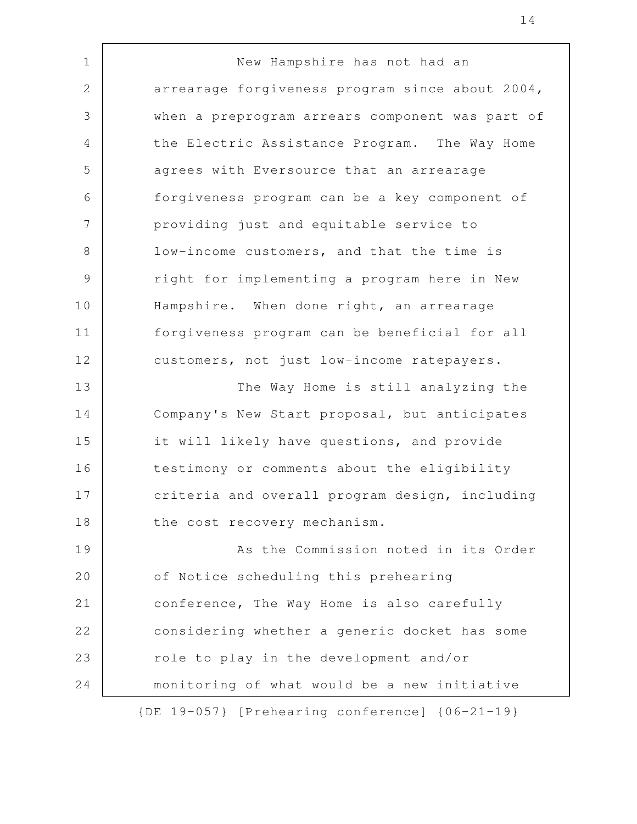New Hampshire has not had an arrearage forgiveness program since about 2004, when a preprogram arrears component was part of the Electric Assistance Program. The Way Home agrees with Eversource that an arrearage forgiveness program can be a key component of providing just and equitable service to low-income customers, and that the time is right for implementing a program here in New Hampshire. When done right, an arrearage forgiveness program can be beneficial for all customers, not just low-income ratepayers. The Way Home is still analyzing the Company's New Start proposal, but anticipates it will likely have questions, and provide testimony or comments about the eligibility criteria and overall program design, including the cost recovery mechanism. As the Commission noted in its Order of Notice scheduling this prehearing conference, The Way Home is also carefully considering whether a generic docket has some role to play in the development and/or monitoring of what would be a new initiative {DE 19-057} [Prehearing conference] {06-21-19} 1 2 3 4 5 6 7 8 9 10 11 12 13 14 15 16 17 18 19 20 21 22 23 24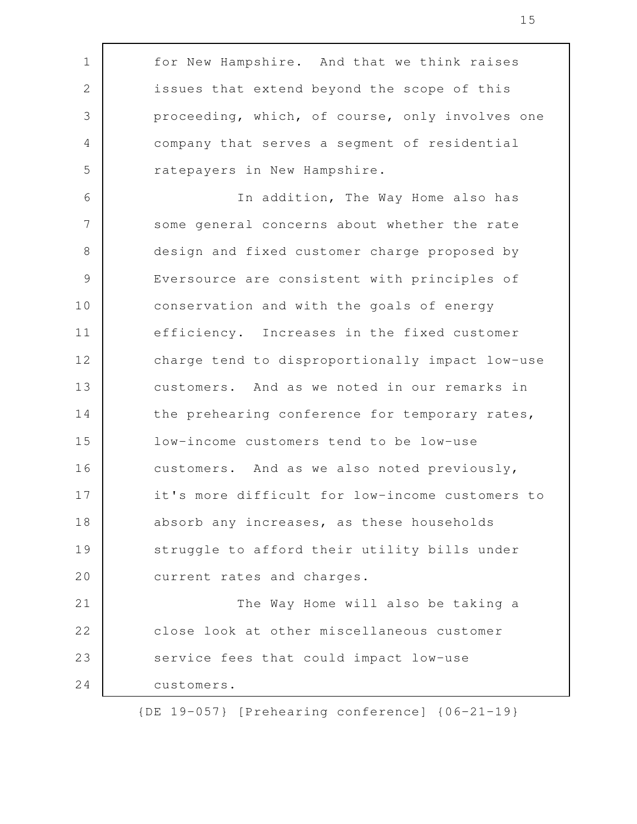for New Hampshire. And that we think raises issues that extend beyond the scope of this proceeding, which, of course, only involves one company that serves a segment of residential ratepayers in New Hampshire. In addition, The Way Home also has some general concerns about whether the rate design and fixed customer charge proposed by Eversource are consistent with principles of conservation and with the goals of energy efficiency. Increases in the fixed customer charge tend to disproportionally impact low-use customers. And as we noted in our remarks in the prehearing conference for temporary rates, low-income customers tend to be low-use customers. And as we also noted previously, it's more difficult for low-income customers to absorb any increases, as these households struggle to afford their utility bills under current rates and charges. The Way Home will also be taking a close look at other miscellaneous customer service fees that could impact low-use customers. 1 2 3 4 5 6 7 8 9 10 11 12 13 14 15 16 17 18 19 20 21 22 23 24

{DE 19-057} [Prehearing conference] {06-21-19}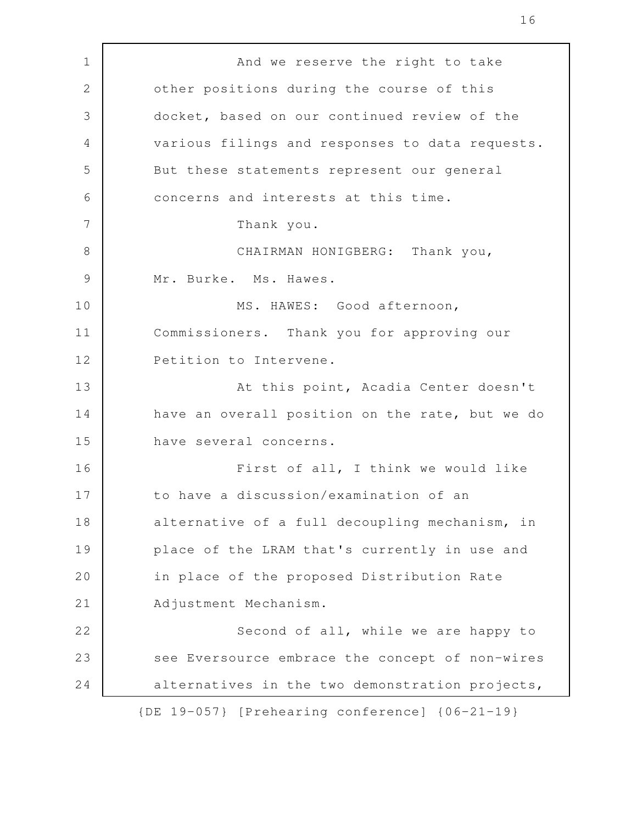And we reserve the right to take other positions during the course of this docket, based on our continued review of the various filings and responses to data requests. But these statements represent our general concerns and interests at this time. Thank you. CHAIRMAN HONIGBERG: Thank you, Mr. Burke. Ms. Hawes. MS. HAWES: Good afternoon, Commissioners. Thank you for approving our Petition to Intervene. At this point, Acadia Center doesn't have an overall position on the rate, but we do have several concerns. First of all, I think we would like to have a discussion/examination of an alternative of a full decoupling mechanism, in place of the LRAM that's currently in use and in place of the proposed Distribution Rate Adjustment Mechanism. Second of all, while we are happy to see Eversource embrace the concept of non-wires alternatives in the two demonstration projects, {DE 19-057} [Prehearing conference] {06-21-19} 1 2 3 4 5 6 7 8 9 10 11 12 13 14 15 16 17 18 19 20 21 22 23 24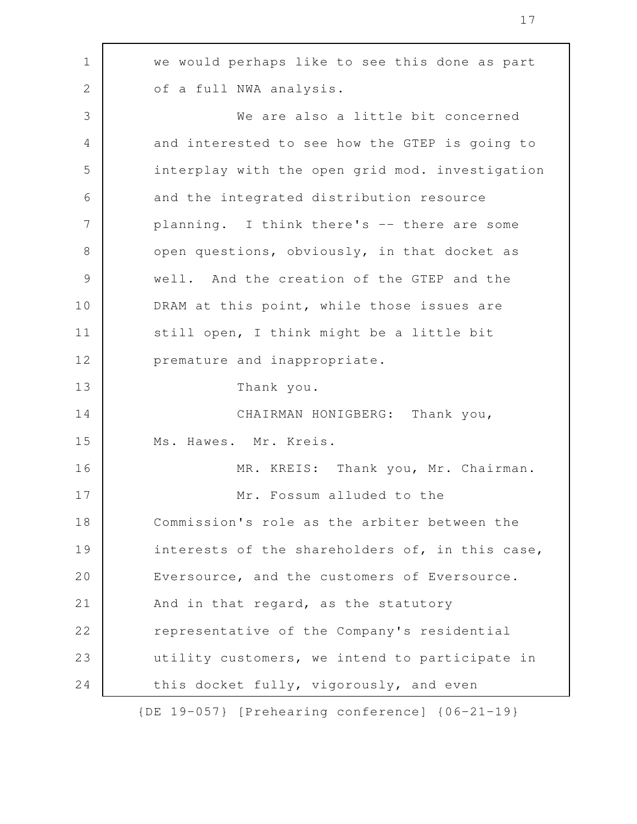we would perhaps like to see this done as part of a full NWA analysis. We are also a little bit concerned and interested to see how the GTEP is going to interplay with the open grid mod. investigation and the integrated distribution resource planning. I think there's -- there are some open questions, obviously, in that docket as well. And the creation of the GTEP and the DRAM at this point, while those issues are still open, I think might be a little bit premature and inappropriate. Thank you. CHAIRMAN HONIGBERG: Thank you, Ms. Hawes. Mr. Kreis. MR. KREIS: Thank you, Mr. Chairman. Mr. Fossum alluded to the Commission's role as the arbiter between the interests of the shareholders of, in this case, Eversource, and the customers of Eversource. And in that regard, as the statutory representative of the Company's residential utility customers, we intend to participate in this docket fully, vigorously, and even 1 2 3 4 5 6 7 8 9 10 11 12 13 14 15 16 17 18 19 20 21 22 23 24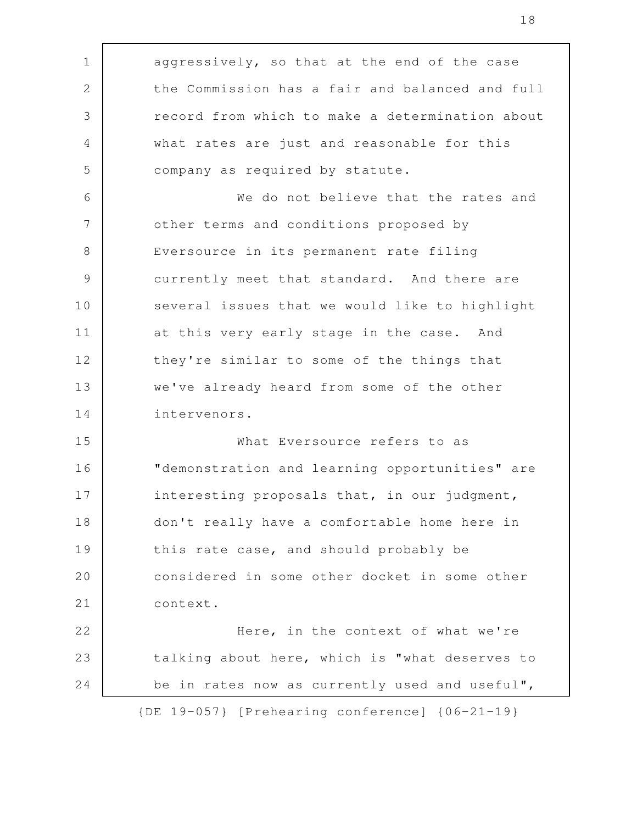aggressively, so that at the end of the case the Commission has a fair and balanced and full record from which to make a determination about what rates are just and reasonable for this company as required by statute. We do not believe that the rates and other terms and conditions proposed by Eversource in its permanent rate filing currently meet that standard. And there are several issues that we would like to highlight at this very early stage in the case. And they're similar to some of the things that we've already heard from some of the other intervenors. What Eversource refers to as "demonstration and learning opportunities" are interesting proposals that, in our judgment, don't really have a comfortable home here in this rate case, and should probably be considered in some other docket in some other context. Here, in the context of what we're talking about here, which is "what deserves to be in rates now as currently used and useful", 1 2 3 4 5 6 7 8 9 10 11 12 13 14 15 16 17 18 19 20 21 22 23 24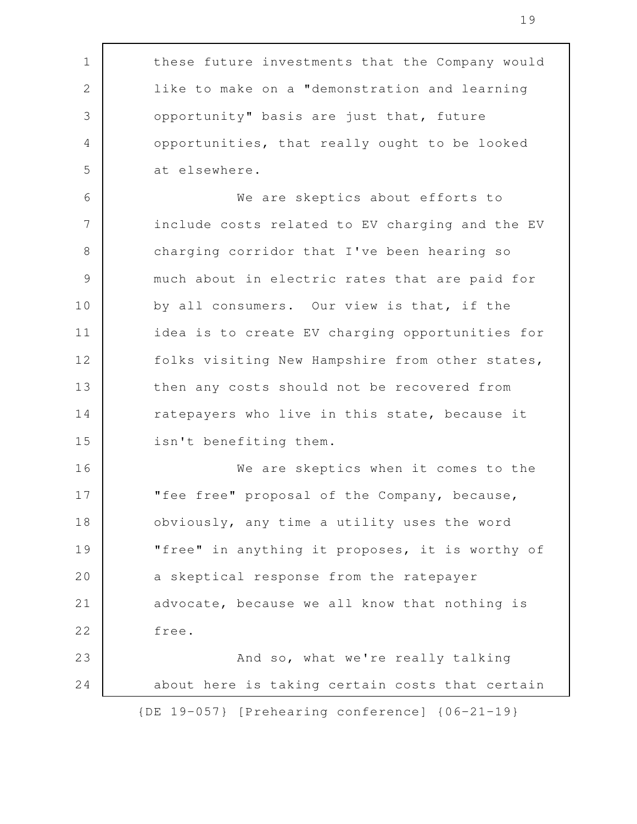these future investments that the Company would like to make on a "demonstration and learning opportunity" basis are just that, future opportunities, that really ought to be looked at elsewhere. We are skeptics about efforts to include costs related to EV charging and the EV charging corridor that I've been hearing so much about in electric rates that are paid for by all consumers. Our view is that, if the idea is to create EV charging opportunities for folks visiting New Hampshire from other states, then any costs should not be recovered from ratepayers who live in this state, because it isn't benefiting them. We are skeptics when it comes to the "fee free" proposal of the Company, because, obviously, any time a utility uses the word "free" in anything it proposes, it is worthy of a skeptical response from the ratepayer advocate, because we all know that nothing is free. And so, what we're really talking about here is taking certain costs that certain {DE 19-057} [Prehearing conference] {06-21-19} 1 2 3 4 5 6 7 8 9 10 11 12 13 14 15 16 17 18 19 20 21 22 23 24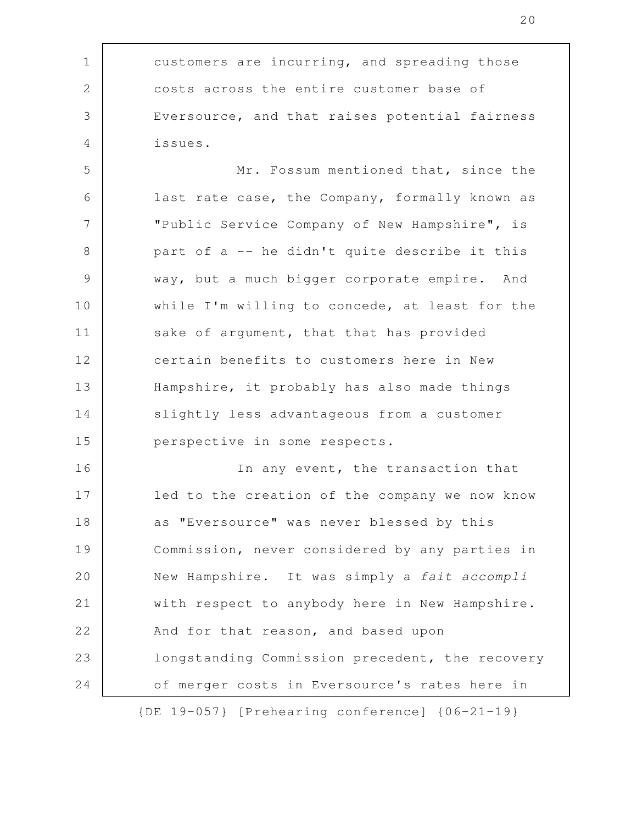customers are incurring, and spreading those costs across the entire customer base of Eversource, and that raises potential fairness issues. 1 2 3 4

20

Mr. Fossum mentioned that, since the last rate case, the Company, formally known as "Public Service Company of New Hampshire", is part of a -- he didn't quite describe it this way, but a much bigger corporate empire. And while I'm willing to concede, at least for the sake of argument, that that has provided certain benefits to customers here in New Hampshire, it probably has also made things slightly less advantageous from a customer perspective in some respects. 5 6 7 8 9 10 11 12 13 14 15

In any event, the transaction that led to the creation of the company we now know as "Eversource" was never blessed by this Commission, never considered by any parties in New Hampshire. It was simply a fait accompli with respect to anybody here in New Hampshire. And for that reason, and based upon longstanding Commission precedent, the recovery of merger costs in Eversource's rates here in {DE 19-057} [Prehearing conference] {06-21-19} 16 17 18 19 20 21 22 23 24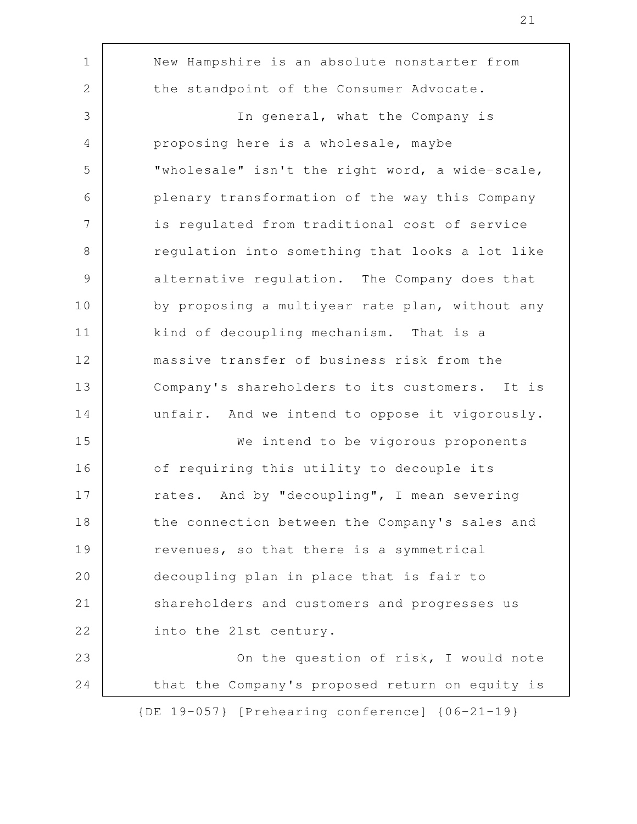| $\mathbf 1$   | New Hampshire is an absolute nonstarter from            |
|---------------|---------------------------------------------------------|
| $\sqrt{2}$    | the standpoint of the Consumer Advocate.                |
| 3             | In general, what the Company is                         |
| 4             | proposing here is a wholesale, maybe                    |
| 5             | "wholesale" isn't the right word, a wide-scale,         |
| 6             | plenary transformation of the way this Company          |
| 7             | is regulated from traditional cost of service           |
| $\,8\,$       | regulation into something that looks a lot like         |
| $\mathcal{G}$ | alternative regulation. The Company does that           |
| 10            | by proposing a multiyear rate plan, without any         |
| 11            | kind of decoupling mechanism. That is a                 |
| 12            | massive transfer of business risk from the              |
| 13            | Company's shareholders to its customers. It is          |
| 14            | unfair. And we intend to oppose it vigorously.          |
| 15            | We intend to be vigorous proponents                     |
| 16            | of requiring this utility to decouple its               |
| 17            | rates. And by "decoupling", I mean severing             |
| 18            | the connection between the Company's sales and          |
| 19            | revenues, so that there is a symmetrical                |
| 20            | decoupling plan in place that is fair to                |
| 21            | shareholders and customers and progresses us            |
| 22            | into the 21st century.                                  |
| 23            | On the question of risk, I would note                   |
| 24            | that the Company's proposed return on equity is         |
|               | $\{DE\ 19-057\}$ [Prehearing conference] $\{06-21-19\}$ |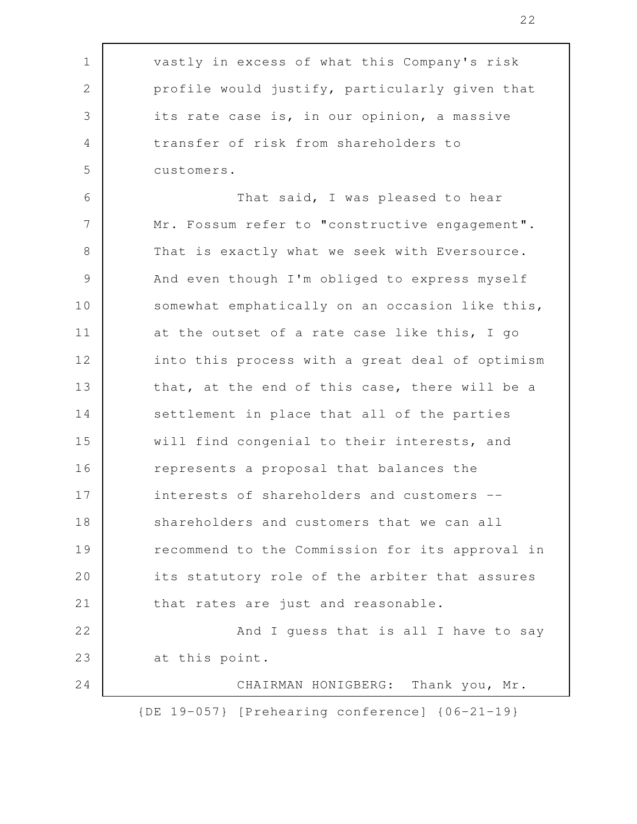| $\mathbf 1$    | vastly in excess of what this Company's risk       |
|----------------|----------------------------------------------------|
| $\mathbf{2}$   | profile would justify, particularly given that     |
| 3              | its rate case is, in our opinion, a massive        |
| $\overline{4}$ | transfer of risk from shareholders to              |
| 5              | customers.                                         |
| 6              | That said, I was pleased to hear                   |
| 7              | Mr. Fossum refer to "constructive engagement".     |
| $8\,$          | That is exactly what we seek with Eversource.      |
| $\mathcal{G}$  | And even though I'm obliged to express myself      |
| 10             | somewhat emphatically on an occasion like this,    |
| 11             | at the outset of a rate case like this, I go       |
| 12             | into this process with a great deal of optimism    |
| 13             | that, at the end of this case, there will be a     |
| 14             | settlement in place that all of the parties        |
| 15             | will find congenial to their interests, and        |
| 16             | represents a proposal that balances the            |
| 17             | interests of shareholders and customers --         |
| 18             | shareholders and customers that we can all         |
| 19             | recommend to the Commission for its approval in    |
| 20             | its statutory role of the arbiter that assures     |
| 21             | that rates are just and reasonable.                |
| 22             | And I quess that is all I have to say              |
| 23             | at this point.                                     |
| 24             | CHAIRMAN HONIGBERG: Thank you, Mr.                 |
|                | $[DE 19-057]$ [Prehearing conference] ${06-21-19}$ |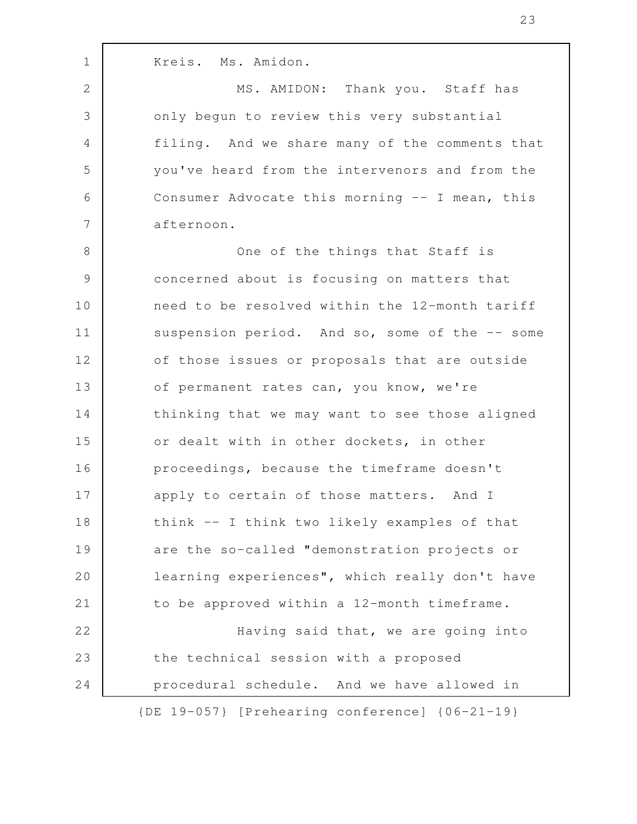Kreis. Ms. Amidon. MS. AMIDON: Thank you. Staff has only begun to review this very substantial filing. And we share many of the comments that you've heard from the intervenors and from the Consumer Advocate this morning -- I mean, this afternoon. One of the things that Staff is concerned about is focusing on matters that need to be resolved within the 12-month tariff suspension period. And so, some of the -- some of those issues or proposals that are outside of permanent rates can, you know, we're thinking that we may want to see those aligned or dealt with in other dockets, in other proceedings, because the timeframe doesn't apply to certain of those matters. And I think -- I think two likely examples of that are the so-called "demonstration projects or learning experiences", which really don't have to be approved within a 12-month timeframe. Having said that, we are going into the technical session with a proposed procedural schedule. And we have allowed in {DE 19-057} [Prehearing conference] {06-21-19} 1 2 3 4 5 6 7 8 9 10 11 12 13 14 15 16 17 18 19 20 21 22 23 24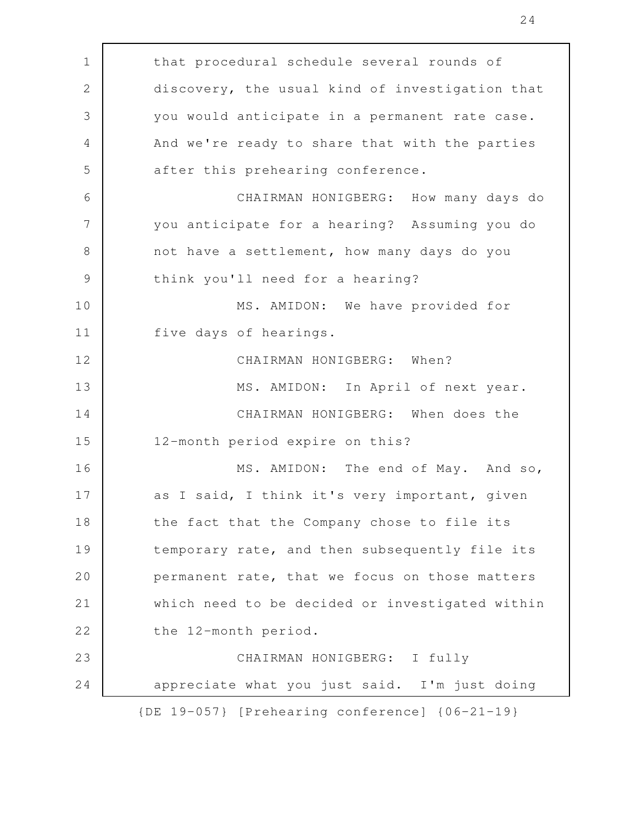| $\mathbf 1$    | that procedural schedule several rounds of              |
|----------------|---------------------------------------------------------|
| $\mathbf{2}$   | discovery, the usual kind of investigation that         |
| 3              | you would anticipate in a permanent rate case.          |
| $\overline{4}$ | And we're ready to share that with the parties          |
| 5              | after this prehearing conference.                       |
| 6              | CHAIRMAN HONIGBERG: How many days do                    |
| 7              | you anticipate for a hearing? Assuming you do           |
| $8\,$          | not have a settlement, how many days do you             |
| $\mathcal{G}$  | think you'll need for a hearing?                        |
| 10             | MS. AMIDON: We have provided for                        |
| 11             | five days of hearings.                                  |
| 12             | CHAIRMAN HONIGBERG: When?                               |
| 13             | MS. AMIDON: In April of next year.                      |
| 14             | CHAIRMAN HONIGBERG: When does the                       |
| 15             | 12-month period expire on this?                         |
| 16             | MS. AMIDON: The end of May. And so,                     |
| 17             | as I said, I think it's very important, given           |
| 18             | the fact that the Company chose to file its             |
| 19             | temporary rate, and then subsequently file its          |
| 20             | permanent rate, that we focus on those matters          |
| 21             | which need to be decided or investigated within         |
| 22             | the 12-month period.                                    |
| 23             | CHAIRMAN HONIGBERG: I fully                             |
| 24             | appreciate what you just said. I'm just doing           |
|                | $\{DE\ 19-057\}$ [Prehearing conference] $\{06-21-19\}$ |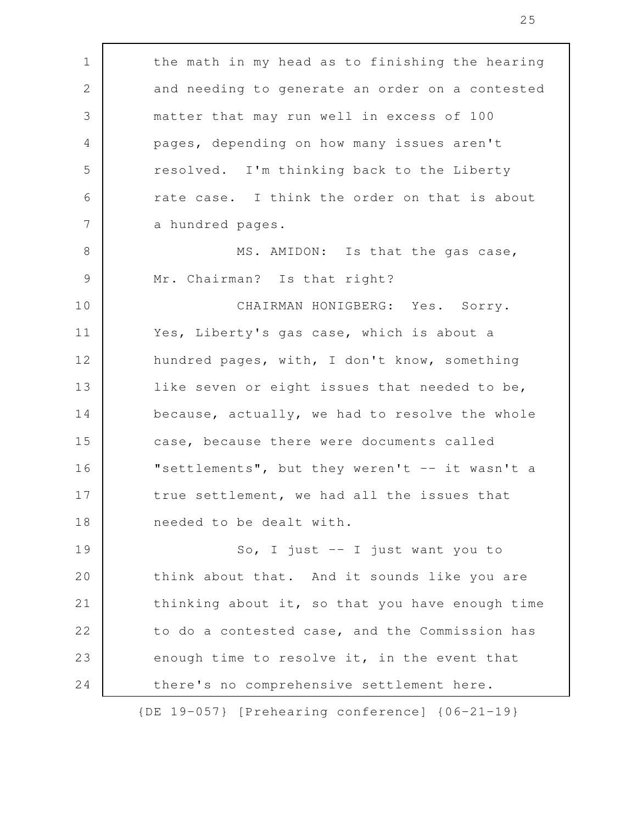| $\mathbf 1$ | the math in my head as to finishing the hearing    |
|-------------|----------------------------------------------------|
| $\sqrt{2}$  | and needing to generate an order on a contested    |
| 3           | matter that may run well in excess of 100          |
| 4           | pages, depending on how many issues aren't         |
| 5           | resolved. I'm thinking back to the Liberty         |
| 6           | rate case. I think the order on that is about      |
| 7           | a hundred pages.                                   |
| $8\,$       | MS. AMIDON: Is that the gas case,                  |
| 9           | Mr. Chairman? Is that right?                       |
| 10          | CHAIRMAN HONIGBERG: Yes. Sorry.                    |
| 11          | Yes, Liberty's gas case, which is about a          |
| 12          | hundred pages, with, I don't know, something       |
| 13          | like seven or eight issues that needed to be,      |
| 14          | because, actually, we had to resolve the whole     |
| 15          | case, because there were documents called          |
| 16          | "settlements", but they weren't -- it wasn't a     |
| 17          | true settlement, we had all the issues that        |
| 18          | needed to be dealt with.                           |
| 19          | So, I just $-$ I just want you to                  |
| 20          | think about that. And it sounds like you are       |
| 21          | thinking about it, so that you have enough time    |
| 22          | to do a contested case, and the Commission has     |
| 23          | enough time to resolve it, in the event that       |
| 24          | there's no comprehensive settlement here.          |
|             | $[DE 19-057]$ [Prehearing conference] ${06-21-19}$ |